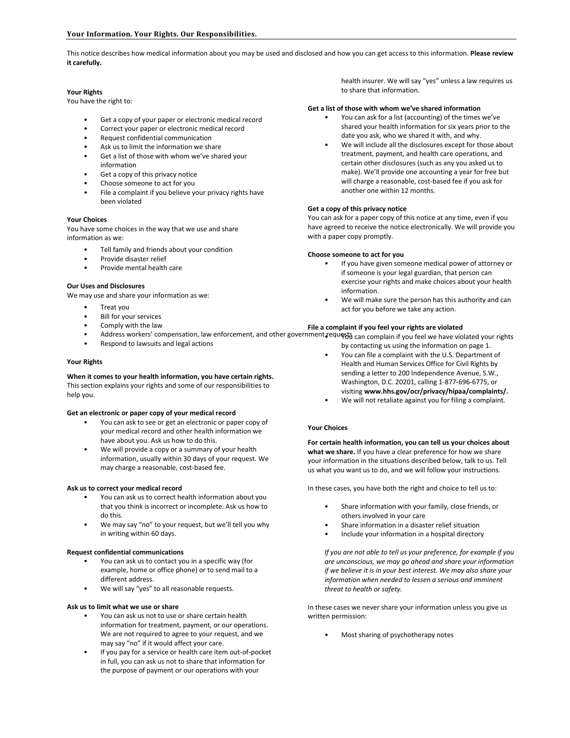This notice describes how medical information about you may be used and disclosed and how you can get access to this information. **Please review it carefully.**

## **Your Rights**

You have the right to:

- Get a copy of your paper or electronic medical record
- Correct your paper or electronic medical record
- Request confidential communication
- Ask us to limit the information we share
- Get a list of those with whom we've shared your information
- Get a copy of this privacy notice
- Choose someone to act for you
- File a complaint if you believe your privacy rights have been violated

## **Your Choices**

You have some choices in the way that we use and share information as we:

- Tell family and friends about your condition
- Provide disaster relief
- Provide mental health care

# **Our Uses and Disclosures**

We may use and share your information as we:

- Treat you
- **Bill for your services**
- Comply with the law
- Address workers' compensation, law enforcement, and other government request a camplain if you feel we have violated your rights
- Respond to lawsuits and legal actions

## **Your Rights**

**When it comes to your health information, you have certain rights.**  This section explains your rights and some of our responsibilities to help you.

## **Get an electronic or paper copy of your medical record**

- You can ask to see or get an electronic or paper copy of your medical record and other health information we have about you. Ask us how to do this.
- We will provide a copy or a summary of your health information, usually within 30 days of your request. We may charge a reasonable, cost-based fee.

## **Ask us to correct your medical record**

- You can ask us to correct health information about you that you think is incorrect or incomplete. Ask us how to do this.
- We may say "no" to your request, but we'll tell you why in writing within 60 days.

## **Request confidential communications**

- You can ask us to contact you in a specific way (for example, home or office phone) or to send mail to a different address.
- We will say "yes" to all reasonable requests.

## **Ask us to limit what we use or share**

- You can ask us not to use or share certain health information for treatment, payment, or our operations. We are not required to agree to your request, and we may say "no" if it would affect your care.
- If you pay for a service or health care item out-of-pocket in full, you can ask us not to share that information for the purpose of payment or our operations with your

health insurer. We will say "yes" unless a law requires us to share that information.

## **Get a list of those with whom we've shared information**

- You can ask for a list (accounting) of the times we've shared your health information for six years prior to the date you ask, who we shared it with, and why.
- We will include all the disclosures except for those about treatment, payment, and health care operations, and certain other disclosures (such as any you asked us to make). We'll provide one accounting a year for free but will charge a reasonable, cost-based fee if you ask for another one within 12 months.

## **Get a copy of this privacy notice**

You can ask for a paper copy of this notice at any time, even if you have agreed to receive the notice electronically. We will provide you with a paper copy promptly.

## **Choose someone to act for you**

- If you have given someone medical power of attorney or if someone is your legal guardian, that person can exercise your rights and make choices about your health information.
- We will make sure the person has this authority and can act for you before we take any action.

## **File a complaint if you feel your rights are violated**

by contacting us using the information on page 1.

- You can file a complaint with the U.S. Department of Health and Human Services Office for Civil Rights by sending a letter to 200 Independence Avenue, S.W., Washington, D.C. 20201, calling 1-877-696-6775, or visiting **www.hhs.gov/ocr/privacy/hipaa/complaints/.**
- We will not retaliate against you for filing a complaint.

## **Your Choices**

**For certain health information, you can tell us your choices about what we share.** If you have a clear preference for how we share your information in the situations described below, talk to us. Tell us what you want us to do, and we will follow your instructions.

In these cases, you have both the right and choice to tell us to:

- Share information with your family, close friends, or others involved in your care
- Share information in a disaster relief situation
- Include your information in a hospital directory

*If you are not able to tell us your preference, for example if you are unconscious, we may go ahead and share your information if we believe it is in your best interest. We may also share your information when needed to lessen a serious and imminent threat to health or safety.*

In these cases we never share your information unless you give us written permission:

• Most sharing of psychotherapy notes